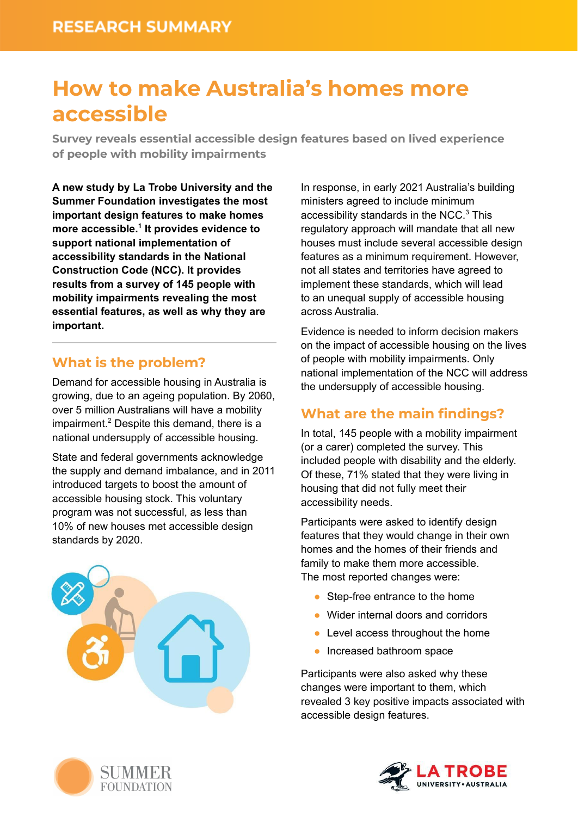# **How to make Australia's homes more accessible**

**Survey reveals essential accessible design features based on lived experience of people with mobility impairments**

**A new study by La Trobe University and the Summer Foundation investigates the most important design features to make homes more accessible. 1 It provides evidence to support national implementation of accessibility standards in the National Construction Code (NCC). It provides results from a survey of 145 people with mobility impairments revealing the most essential features, as well as why they are important.**

## **What is the problem?**

Demand for accessible housing in Australia is growing, due to an ageing population. By 2060, over 5 million Australians will have a mobility impairment. <sup>2</sup> Despite this demand, there is a national undersupply of accessible housing.

State and federal governments acknowledge the supply and demand imbalance, and in 2011 introduced targets to boost the amount of accessible housing stock. This voluntary program was not successful, as less than 10% of new houses met accessible design standards by 2020.



In response, in early 2021 Australia's building ministers agreed to include minimum accessibility standards in the NCC. <sup>3</sup> This regulatory approach will mandate that all new houses must include several accessible design features as a minimum requirement. However, not all states and territories have agreed to implement these standards, which will lead to an unequal supply of accessible housing across Australia.

Evidence is needed to inform decision makers on the impact of accessible housing on the lives of people with mobility impairments. Only national implementation of the NCC will address the undersupply of accessible housing.

## **What are the main findings?**

In total, 145 people with a mobility impairment (or a carer) completed the survey. This included people with disability and the elderly. Of these, 71% stated that they were living in housing that did not fully meet their accessibility needs.

Participants were asked to identify design features that they would change in their own homes and the homes of their friends and family to make them more accessible. The most reported changes were:

- Step-free entrance to the home
- Wider internal doors and corridors
- Level access throughout the home
- Increased bathroom space

Participants were also asked why these changes were important to them, which revealed 3 key positive impacts associated with accessible design features.